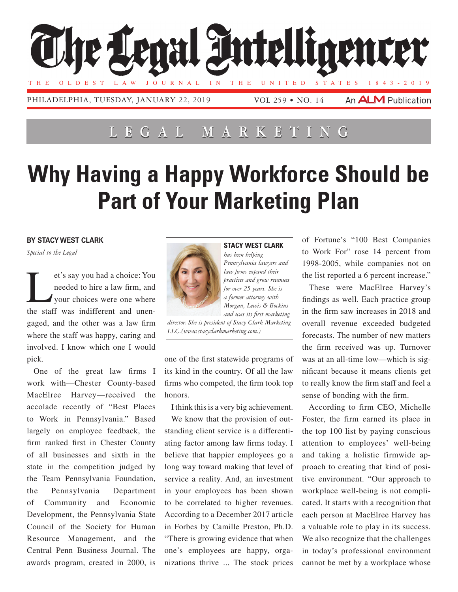

## **Lega l Marketing**

## **Why Having a Happy Workforce Should be Part of Your Marketing Plan**

## **By Stacy West Clark**

*Special to the Legal*

et's say you had a choice: You<br>needed to hire a law firm, and<br>your choices were one where needed to hire a law firm, and your choices were one where the staff was indifferent and unengaged, and the other was a law firm where the staff was happy, caring and involved. I know which one I would pick.

One of the great law firms I work with—Chester County-based MacElree Harvey—received the accolade recently of "Best Places to Work in Pennsylvania." Based largely on employee feedback, the firm ranked first in Chester County of all businesses and sixth in the state in the competition judged by the Team Pennsylvania Foundation, the Pennsylvania Department of Community and Economic Development, the Pennsylvania State Council of the Society for Human Resource Management, and the Central Penn Business Journal. The awards program, created in 2000, is



**Stacy West Clark** *has been helping Pennsylvania lawyers and law firms expand their practices and grow revenues for over 25 years. She is a former attorney with Morgan, Lewis & Bockius and was its first marketing* 

*director. She is president of Stacy Clark Marketing LLC.(www.stacyclarkmarketing.com.)*

one of the first statewide programs of its kind in the country. Of all the law firms who competed, the firm took top honors.

I think this is a very big achievement.

We know that the provision of outstanding client service is a differentiating factor among law firms today. I believe that happier employees go a long way toward making that level of service a reality. And, an investment in your employees has been shown to be correlated to higher revenues. According to a December 2017 article in Forbes by Camille Preston, Ph.D. "There is growing evidence that when one's employees are happy, organizations thrive ... The stock prices

of Fortune's "100 Best Companies to Work For" rose 14 percent from 1998-2005, while companies not on the list reported a 6 percent increase."

These were MacElree Harvey's findings as well. Each practice group in the firm saw increases in 2018 and overall revenue exceeded budgeted forecasts. The number of new matters the firm received was up. Turnover was at an all-time low—which is significant because it means clients get to really know the firm staff and feel a sense of bonding with the firm.

According to firm CEO, Michelle Foster, the firm earned its place in the top 100 list by paying conscious attention to employees' well-being and taking a holistic firmwide approach to creating that kind of positive environment. "Our approach to workplace well-being is not complicated. It starts with a recognition that each person at MacElree Harvey has a valuable role to play in its success. We also recognize that the challenges in today's professional environment cannot be met by a workplace whose